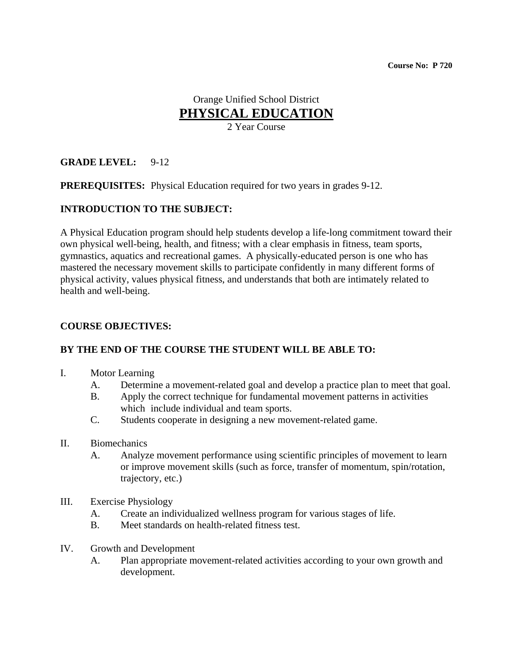# Orange Unified School District **PHYSICAL EDUCATION** 2 Year Course

## **GRADE LEVEL:** 9-12

**PREREQUISITES:** Physical Education required for two years in grades 9-12.

#### **INTRODUCTION TO THE SUBJECT:**

A Physical Education program should help students develop a life-long commitment toward their own physical well-being, health, and fitness; with a clear emphasis in fitness, team sports, gymnastics, aquatics and recreational games. A physically-educated person is one who has mastered the necessary movement skills to participate confidently in many different forms of physical activity, values physical fitness, and understands that both are intimately related to health and well-being.

#### **COURSE OBJECTIVES:**

#### **BY THE END OF THE COURSE THE STUDENT WILL BE ABLE TO:**

- I. Motor Learning
	- A. Determine a movement-related goal and develop a practice plan to meet that goal.
	- B. Apply the correct technique for fundamental movement patterns in activities which include individual and team sports.
	- C. Students cooperate in designing a new movement-related game.
- II. Biomechanics
	- A. Analyze movement performance using scientific principles of movement to learn or improve movement skills (such as force, transfer of momentum, spin/rotation, trajectory, etc.)
- III. Exercise Physiology
	- A. Create an individualized wellness program for various stages of life.
	- B. Meet standards on health-related fitness test.
- IV. Growth and Development
	- A. Plan appropriate movement-related activities according to your own growth and development.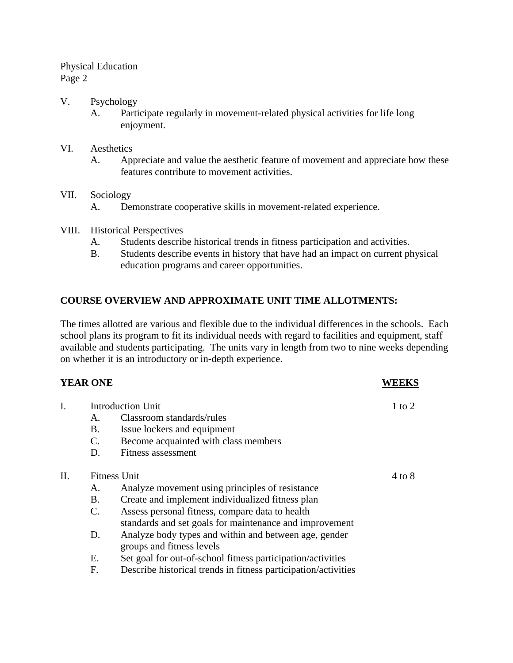## Physical Education Page 2

#### V. Psychology

A. Participate regularly in movement-related physical activities for life long enjoyment.

#### VI. Aesthetics

A. Appreciate and value the aesthetic feature of movement and appreciate how these features contribute to movement activities.

#### VII. Sociology

- A. Demonstrate cooperative skills in movement-related experience.
- VIII. Historical Perspectives
	- A. Students describe historical trends in fitness participation and activities.
	- B. Students describe events in history that have had an impact on current physical education programs and career opportunities.

## **COURSE OVERVIEW AND APPROXIMATE UNIT TIME ALLOTMENTS:**

The times allotted are various and flexible due to the individual differences in the schools. Each school plans its program to fit its individual needs with regard to facilities and equipment, staff available and students participating. The units vary in length from two to nine weeks depending on whether it is an introductory or in-depth experience.

## **YEAR ONE WEEKS**

| I.  | <b>Introduction Unit</b> |                                                                |                   |
|-----|--------------------------|----------------------------------------------------------------|-------------------|
|     | А.                       | Classroom standards/rules                                      |                   |
|     | <b>B.</b>                | Issue lockers and equipment                                    |                   |
|     | $\mathbf{C}$ .           | Become acquainted with class members                           |                   |
|     | D.                       | <b>Fitness assessment</b>                                      |                   |
| II. | <b>Fitness Unit</b>      |                                                                | $4 \text{ to } 8$ |
|     | Α.                       | Analyze movement using principles of resistance                |                   |
|     | Β.                       | Create and implement individualized fitness plan               |                   |
|     | $\mathbf{C}$ .           | Assess personal fitness, compare data to health                |                   |
|     |                          | standards and set goals for maintenance and improvement        |                   |
|     | D.                       | Analyze body types and within and between age, gender          |                   |
|     |                          | groups and fitness levels                                      |                   |
|     | Ε.                       | Set goal for out-of-school fitness participation/activities    |                   |
|     | F.                       | Describe historical trends in fitness participation/activities |                   |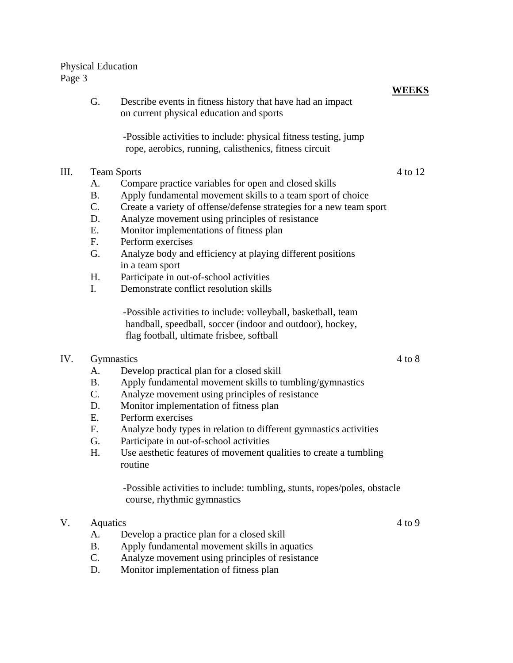#### Physical Education Page 3

|      |                    | on current physical education and sports                                                                                  |         |
|------|--------------------|---------------------------------------------------------------------------------------------------------------------------|---------|
|      |                    | -Possible activities to include: physical fitness testing, jump<br>rope, aerobics, running, calisthenics, fitness circuit |         |
| III. | <b>Team Sports</b> |                                                                                                                           | 4 to 12 |
|      | A.                 | Compare practice variables for open and closed skills                                                                     |         |
|      | <b>B.</b>          | Apply fundamental movement skills to a team sport of choice                                                               |         |
|      | $\mathcal{C}$ .    | Create a variety of offense/defense strategies for a new team sport                                                       |         |
|      | D.                 | Analyze movement using principles of resistance                                                                           |         |
|      | E.                 | Monitor implementations of fitness plan                                                                                   |         |
|      | F.                 | Perform exercises                                                                                                         |         |
|      | G.                 | Analyze body and efficiency at playing different positions                                                                |         |
|      |                    | in a team sport                                                                                                           |         |
|      | H.                 | Participate in out-of-school activities                                                                                   |         |
|      | I.                 | Demonstrate conflict resolution skills                                                                                    |         |
|      |                    |                                                                                                                           |         |

**WEEKS**

G. Describe events in fitness history that have had an impact

 -Possible activities to include: volleyball, basketball, team handball, speedball, soccer (indoor and outdoor), hockey, flag football, ultimate frisbee, softball

## IV. Gymnastics 4 to 8

## A. Develop practical plan for a closed skill

- B. Apply fundamental movement skills to tumbling/gymnastics
- C. Analyze movement using principles of resistance
- D. Monitor implementation of fitness plan
- E. Perform exercises
- F. Analyze body types in relation to different gymnastics activities
- G. Participate in out-of-school activities
- H. Use aesthetic features of movement qualities to create a tumbling routine

 -Possible activities to include: tumbling, stunts, ropes/poles, obstacle course, rhythmic gymnastics

# V. Aquatics 4 to 9

- A. Develop a practice plan for a closed skill
- B. Apply fundamental movement skills in aquatics
- C. Analyze movement using principles of resistance
- D. Monitor implementation of fitness plan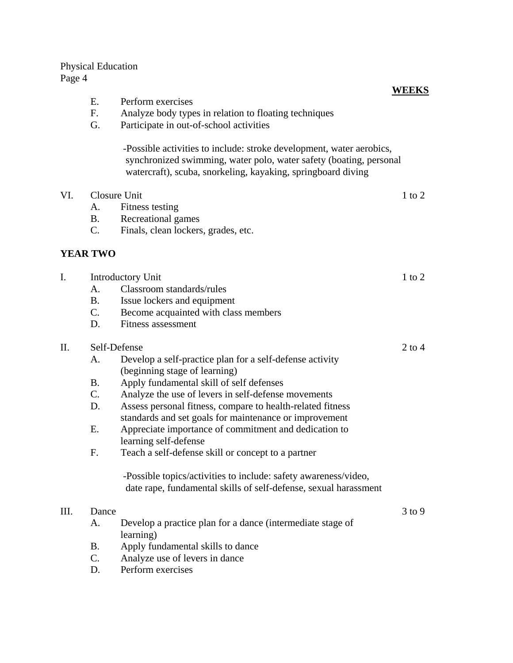# Physical Education

Page 4

| Page 4 |                                                                  |                                                                                                                                                                                                                                                                                                                                                                                                                                                                                                                                                                                                     |            |
|--------|------------------------------------------------------------------|-----------------------------------------------------------------------------------------------------------------------------------------------------------------------------------------------------------------------------------------------------------------------------------------------------------------------------------------------------------------------------------------------------------------------------------------------------------------------------------------------------------------------------------------------------------------------------------------------------|------------|
|        | E.<br>F <sub>1</sub><br>G.                                       | Perform exercises<br>Analyze body types in relation to floating techniques<br>Participate in out-of-school activities                                                                                                                                                                                                                                                                                                                                                                                                                                                                               | WEEKS      |
|        |                                                                  | -Possible activities to include: stroke development, water aerobics,<br>synchronized swimming, water polo, water safety (boating, personal<br>watercraft), scuba, snorkeling, kayaking, springboard diving                                                                                                                                                                                                                                                                                                                                                                                          |            |
| VI.    | Closure Unit<br>A.<br><b>B.</b><br>$\mathcal{C}$ .               | Fitness testing<br>Recreational games<br>Finals, clean lockers, grades, etc.                                                                                                                                                                                                                                                                                                                                                                                                                                                                                                                        | 1 to 2     |
|        | <b>YEAR TWO</b>                                                  |                                                                                                                                                                                                                                                                                                                                                                                                                                                                                                                                                                                                     |            |
| I.     | A.<br>B <sub>1</sub><br>$C_{\cdot}$<br>D.                        | Introductory Unit<br>Classroom standards/rules<br>Issue lockers and equipment<br>Become acquainted with class members<br><b>Fitness assessment</b>                                                                                                                                                                                                                                                                                                                                                                                                                                                  | $1$ to $2$ |
| II.    | Self-Defense<br>A.<br><b>B.</b><br>$C_{\cdot}$<br>D.<br>Ε.<br>F. | Develop a self-practice plan for a self-defense activity<br>(beginning stage of learning)<br>Apply fundamental skill of self defenses<br>Analyze the use of levers in self-defense movements<br>Assess personal fitness, compare to health-related fitness<br>standards and set goals for maintenance or improvement<br>Appreciate importance of commitment and dedication to<br>learning self-defense<br>Teach a self-defense skill or concept to a partner<br>-Possible topics/activities to include: safety awareness/video,<br>date rape, fundamental skills of self-defense, sexual harassment | $2$ to $4$ |
| III.   | Dance<br>А.<br><b>B.</b><br>C.                                   | Develop a practice plan for a dance (intermediate stage of<br>learning)<br>Apply fundamental skills to dance<br>Analyze use of levers in dance                                                                                                                                                                                                                                                                                                                                                                                                                                                      | $3$ to $9$ |

D. Perform exercises